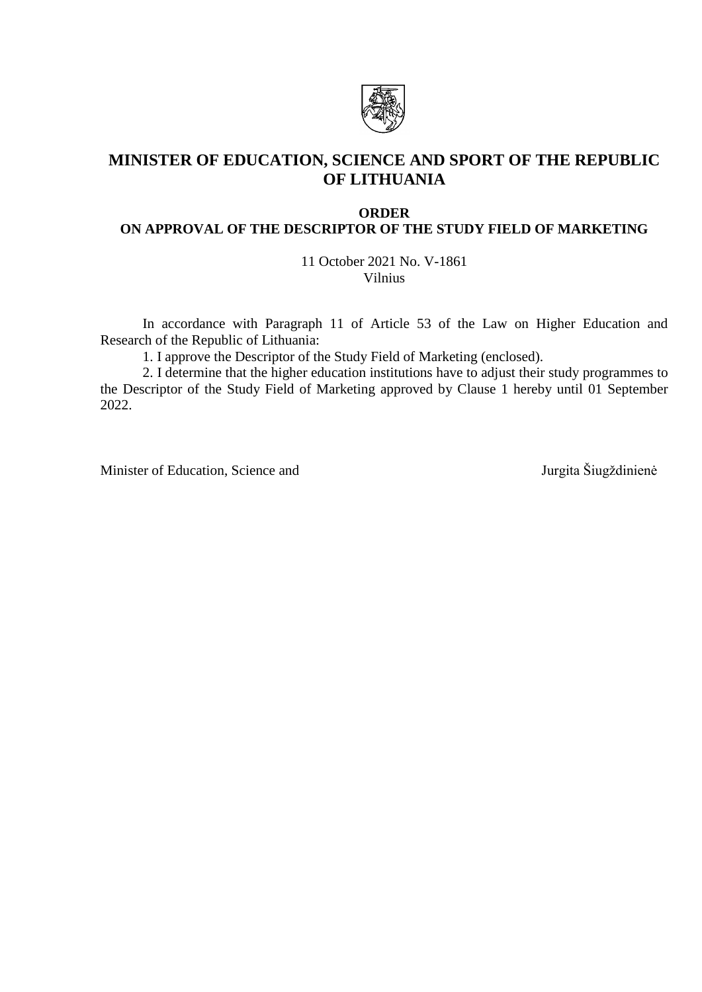

# **MINISTER OF EDUCATION, SCIENCE AND SPORT OF THE REPUBLIC OF LITHUANIA**

#### **ORDER**

### **ON APPROVAL OF THE DESCRIPTOR OF THE STUDY FIELD OF MARKETING**

11 October 2021 No. V-1861 Vilnius

In accordance with Paragraph 11 of Article 53 of the Law on Higher Education and Research of the Republic of Lithuania:

1. I approve the Descriptor of the Study Field of Marketing (enclosed).

2. I determine that the higher education institutions have to adjust their study programmes to the Descriptor of the Study Field of Marketing approved by Clause 1 hereby until 01 September 2022.

Minister of Education, Science and Jurgita Šiugždinienė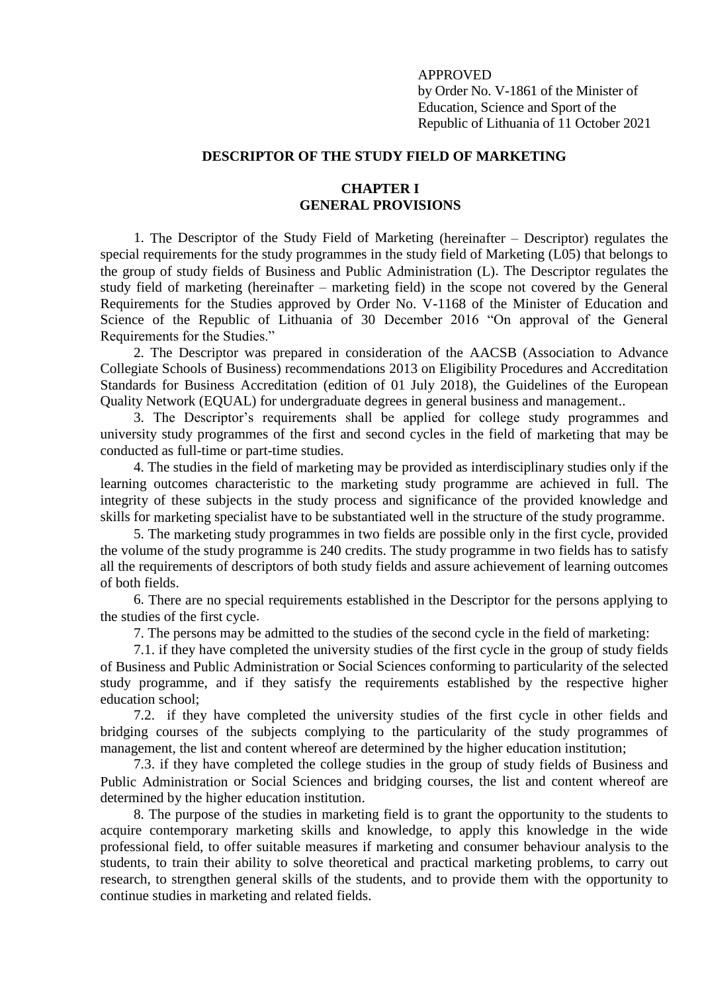### APPROVED

by Order No. V-1861 of the Minister of Education, Science and Sport of the Republic of Lithuania of 11 October 2021

### **DESCRIPTOR OF THE STUDY FIELD OF MARKETING**

### **CHAPTER I GENERAL PROVISIONS**

1. The Descriptor of the Study Field of Marketing (hereinafter – Descriptor) regulates the special requirements for the study programmes in the study field of Marketing (L05) that belongs to the group of study fields of Business and Public Administration (L). The Descriptor regulates the study field of marketing (hereinafter – marketing field) in the scope not covered by the General Requirements for the Studies approved by Order No. V-1168 of the Minister of Education and Science of the Republic of Lithuania of 30 December 2016 "On approval of the General Requirements for the Studies."

2. The Descriptor was prepared in consideration of the AACSB (Association to Advance Collegiate Schools of Business) recommendations 2013 on Eligibility Procedures and Accreditation Standards for Business Accreditation (edition of 01 July 2018), the Guidelines of the European Quality Network (EQUAL) for undergraduate degrees in general business and management..

3. The Descriptor's requirements shall be applied for college study programmes and university study programmes of the first and second cycles in the field of marketing that may be conducted as full-time or part-time studies.

4. The studies in the field of marketing may be provided as interdisciplinary studies only if the learning outcomes characteristic to the marketing study programme are achieved in full. The integrity of these subjects in the study process and significance of the provided knowledge and skills for marketing specialist have to be substantiated well in the structure of the study programme.

5. The marketing study programmes in two fields are possible only in the first cycle, provided the volume of the study programme is 240 credits. The study programme in two fields has to satisfy all the requirements of descriptors of both study fields and assure achievement of learning outcomes of both fields.

6. There are no special requirements established in the Descriptor for the persons applying to the studies of the first cycle.

7. The persons may be admitted to the studies of the second cycle in the field of marketing:

7.1. if they have completed the university studies of the first cycle in the group of study fields of Business and Public Administration or Social Sciences conforming to particularity of the selected study programme, and if they satisfy the requirements established by the respective higher education school;

7.2. if they have completed the university studies of the first cycle in other fields and bridging courses of the subjects complying to the particularity of the study programmes of management, the list and content whereof are determined by the higher education institution;

7.3. if they have completed the college studies in the group of study fields of Business and Public Administration or Social Sciences and bridging courses, the list and content whereof are determined by the higher education institution.

8. The purpose of the studies in marketing field is to grant the opportunity to the students to acquire contemporary marketing skills and knowledge, to apply this knowledge in the wide professional field, to offer suitable measures if marketing and consumer behaviour analysis to the students, to train their ability to solve theoretical and practical marketing problems, to carry out research, to strengthen general skills of the students, and to provide them with the opportunity to continue studies in marketing and related fields.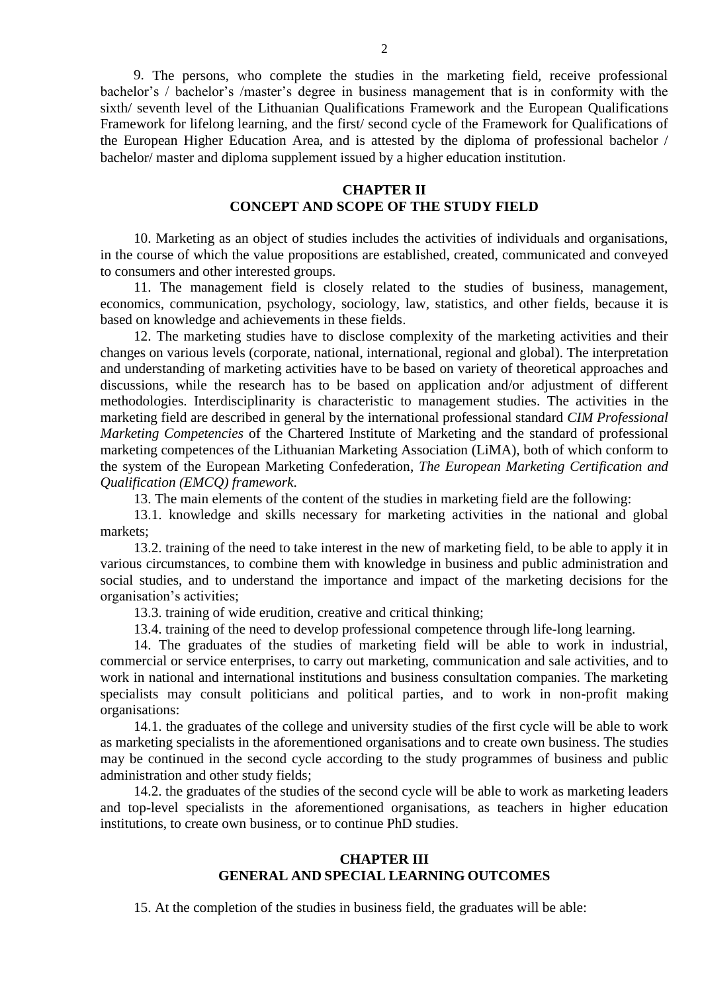9. The persons, who complete the studies in the marketing field, receive professional bachelor's / bachelor's /master's degree in business management that is in conformity with the sixth/ seventh level of the Lithuanian Qualifications Framework and the European Qualifications Framework for lifelong learning, and the first/ second cycle of the Framework for Qualifications of the European Higher Education Area, and is attested by the diploma of professional bachelor / bachelor/ master and diploma supplement issued by a higher education institution.

# **CHAPTER II CONCEPT AND SCOPE OF THE STUDY FIELD**

10. Marketing as an object of studies includes the activities of individuals and organisations, in the course of which the value propositions are established, created, communicated and conveyed to consumers and other interested groups.

11. The management field is closely related to the studies of business, management, economics, communication, psychology, sociology, law, statistics, and other fields, because it is based on knowledge and achievements in these fields.

12. The marketing studies have to disclose complexity of the marketing activities and their changes on various levels (corporate, national, international, regional and global). The interpretation and understanding of marketing activities have to be based on variety of theoretical approaches and discussions, while the research has to be based on application and/or adjustment of different methodologies. Interdisciplinarity is characteristic to management studies. The activities in the marketing field are described in general by the international professional standard *CIM Professional Marketing Competencies* of the Chartered Institute of Marketing and the standard of professional marketing competences of the Lithuanian Marketing Association (LiMA), both of which conform to the system of the European Marketing Confederation, *The European Marketing Certification and Qualification (EMCQ) framework*.

13. The main elements of the content of the studies in marketing field are the following:

13.1. knowledge and skills necessary for marketing activities in the national and global markets;

13.2. training of the need to take interest in the new of marketing field, to be able to apply it in various circumstances, to combine them with knowledge in business and public administration and social studies, and to understand the importance and impact of the marketing decisions for the organisation's activities;

13.3. training of wide erudition, creative and critical thinking;

13.4. training of the need to develop professional competence through life-long learning.

14. The graduates of the studies of marketing field will be able to work in industrial, commercial or service enterprises, to carry out marketing, communication and sale activities, and to work in national and international institutions and business consultation companies. The marketing specialists may consult politicians and political parties, and to work in non-profit making organisations:

14.1. the graduates of the college and university studies of the first cycle will be able to work as marketing specialists in the aforementioned organisations and to create own business. The studies may be continued in the second cycle according to the study programmes of business and public administration and other study fields;

14.2. the graduates of the studies of the second cycle will be able to work as marketing leaders and top-level specialists in the aforementioned organisations, as teachers in higher education institutions, to create own business, or to continue PhD studies.

### **CHAPTER III GENERAL AND SPECIAL LEARNING OUTCOMES**

15. At the completion of the studies in business field, the graduates will be able: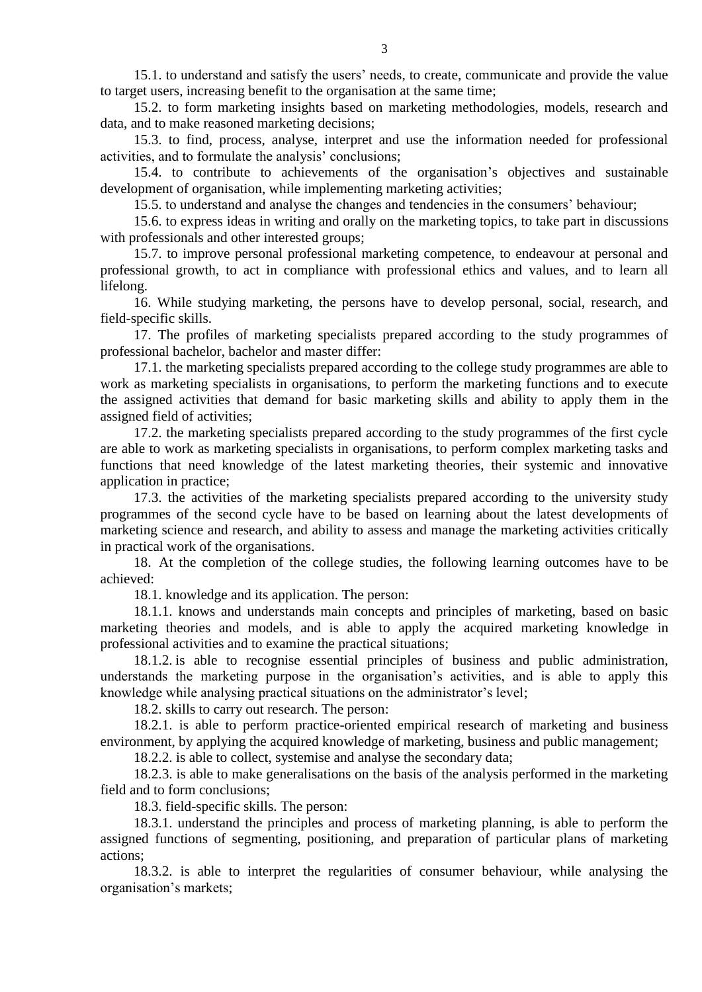15.1. to understand and satisfy the users' needs, to create, communicate and provide the value to target users, increasing benefit to the organisation at the same time;

15.2. to form marketing insights based on marketing methodologies, models, research and data, and to make reasoned marketing decisions;

15.3. to find, process, analyse, interpret and use the information needed for professional activities, and to formulate the analysis' conclusions;

15.4. to contribute to achievements of the organisation's objectives and sustainable development of organisation, while implementing marketing activities;

15.5. to understand and analyse the changes and tendencies in the consumers' behaviour;

15.6. to express ideas in writing and orally on the marketing topics, to take part in discussions with professionals and other interested groups;

15.7. to improve personal professional marketing competence, to endeavour at personal and professional growth, to act in compliance with professional ethics and values, and to learn all lifelong.

16. While studying marketing, the persons have to develop personal, social, research, and field-specific skills.

17. The profiles of marketing specialists prepared according to the study programmes of professional bachelor, bachelor and master differ:

17.1. the marketing specialists prepared according to the college study programmes are able to work as marketing specialists in organisations, to perform the marketing functions and to execute the assigned activities that demand for basic marketing skills and ability to apply them in the assigned field of activities;

17.2. the marketing specialists prepared according to the study programmes of the first cycle are able to work as marketing specialists in organisations, to perform complex marketing tasks and functions that need knowledge of the latest marketing theories, their systemic and innovative application in practice;

17.3. the activities of the marketing specialists prepared according to the university study programmes of the second cycle have to be based on learning about the latest developments of marketing science and research, and ability to assess and manage the marketing activities critically in practical work of the organisations.

18. At the completion of the college studies, the following learning outcomes have to be achieved:

18.1. knowledge and its application. The person:

18.1.1. knows and understands main concepts and principles of marketing, based on basic marketing theories and models, and is able to apply the acquired marketing knowledge in professional activities and to examine the practical situations;

18.1.2. is able to recognise essential principles of business and public administration, understands the marketing purpose in the organisation's activities, and is able to apply this knowledge while analysing practical situations on the administrator's level;

18.2. skills to carry out research. The person:

18.2.1. is able to perform practice-oriented empirical research of marketing and business environment, by applying the acquired knowledge of marketing, business and public management;

18.2.2. is able to collect, systemise and analyse the secondary data;

18.2.3. is able to make generalisations on the basis of the analysis performed in the marketing field and to form conclusions;

18.3. field-specific skills. The person:

18.3.1. understand the principles and process of marketing planning, is able to perform the assigned functions of segmenting, positioning, and preparation of particular plans of marketing actions;

18.3.2. is able to interpret the regularities of consumer behaviour, while analysing the organisation's markets;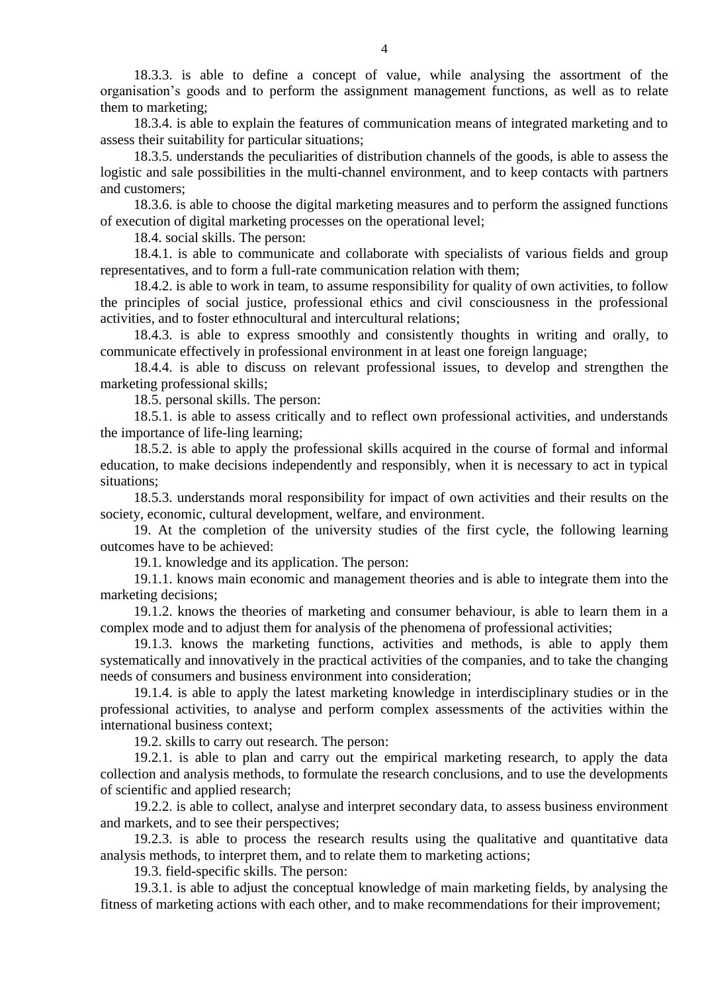18.3.3. is able to define a concept of value, while analysing the assortment of the organisation's goods and to perform the assignment management functions, as well as to relate them to marketing;

18.3.4. is able to explain the features of communication means of integrated marketing and to assess their suitability for particular situations;

18.3.5. understands the peculiarities of distribution channels of the goods, is able to assess the logistic and sale possibilities in the multi-channel environment, and to keep contacts with partners and customers;

18.3.6. is able to choose the digital marketing measures and to perform the assigned functions of execution of digital marketing processes on the operational level;

18.4. social skills. The person:

18.4.1. is able to communicate and collaborate with specialists of various fields and group representatives, and to form a full-rate communication relation with them;

18.4.2. is able to work in team, to assume responsibility for quality of own activities, to follow the principles of social justice, professional ethics and civil consciousness in the professional activities, and to foster ethnocultural and intercultural relations;

18.4.3. is able to express smoothly and consistently thoughts in writing and orally, to communicate effectively in professional environment in at least one foreign language;

18.4.4. is able to discuss on relevant professional issues, to develop and strengthen the marketing professional skills;

18.5. personal skills. The person:

18.5.1. is able to assess critically and to reflect own professional activities, and understands the importance of life-ling learning;

18.5.2. is able to apply the professional skills acquired in the course of formal and informal education, to make decisions independently and responsibly, when it is necessary to act in typical situations;

18.5.3. understands moral responsibility for impact of own activities and their results on the society, economic, cultural development, welfare, and environment.

19. At the completion of the university studies of the first cycle, the following learning outcomes have to be achieved:

19.1. knowledge and its application. The person:

19.1.1. knows main economic and management theories and is able to integrate them into the marketing decisions;

19.1.2. knows the theories of marketing and consumer behaviour, is able to learn them in a complex mode and to adjust them for analysis of the phenomena of professional activities;

19.1.3. knows the marketing functions, activities and methods, is able to apply them systematically and innovatively in the practical activities of the companies, and to take the changing needs of consumers and business environment into consideration;

19.1.4. is able to apply the latest marketing knowledge in interdisciplinary studies or in the professional activities, to analyse and perform complex assessments of the activities within the international business context;

19.2. skills to carry out research. The person:

19.2.1. is able to plan and carry out the empirical marketing research, to apply the data collection and analysis methods, to formulate the research conclusions, and to use the developments of scientific and applied research;

19.2.2. is able to collect, analyse and interpret secondary data, to assess business environment and markets, and to see their perspectives;

19.2.3. is able to process the research results using the qualitative and quantitative data analysis methods, to interpret them, and to relate them to marketing actions;

19.3. field-specific skills. The person:

19.3.1. is able to adjust the conceptual knowledge of main marketing fields, by analysing the fitness of marketing actions with each other, and to make recommendations for their improvement;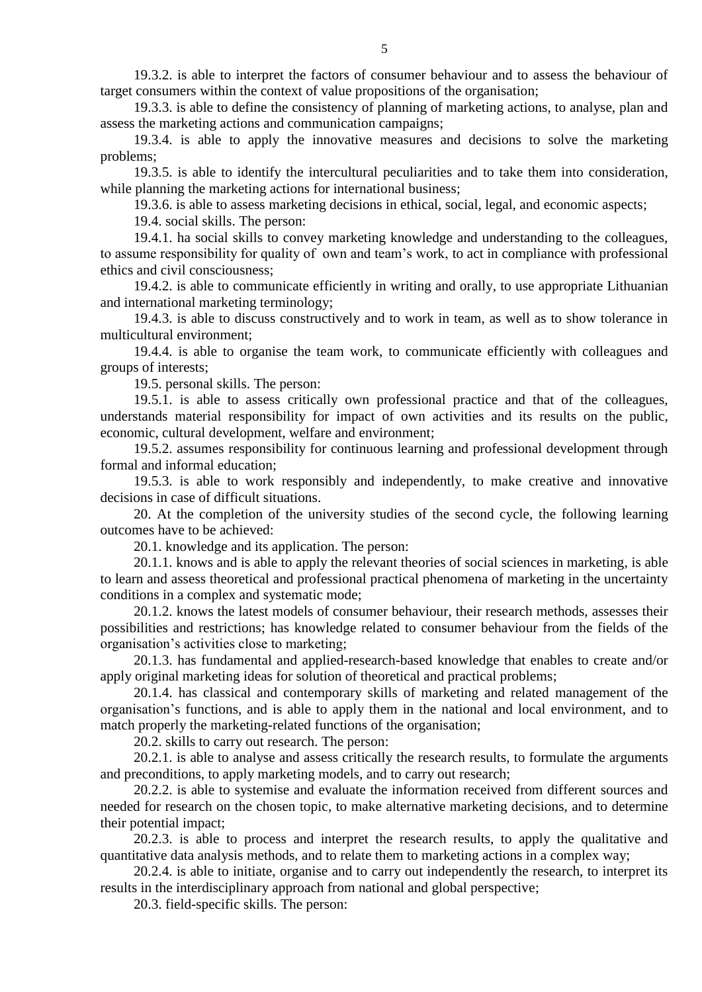19.3.2. is able to interpret the factors of consumer behaviour and to assess the behaviour of target consumers within the context of value propositions of the organisation;

19.3.3. is able to define the consistency of planning of marketing actions, to analyse, plan and assess the marketing actions and communication campaigns;

19.3.4. is able to apply the innovative measures and decisions to solve the marketing problems;

19.3.5. is able to identify the intercultural peculiarities and to take them into consideration, while planning the marketing actions for international business;

19.3.6. is able to assess marketing decisions in ethical, social, legal, and economic aspects;

19.4. social skills. The person:

19.4.1. ha social skills to convey marketing knowledge and understanding to the colleagues, to assume responsibility for quality of own and team's work, to act in compliance with professional ethics and civil consciousness;

19.4.2. is able to communicate efficiently in writing and orally, to use appropriate Lithuanian and international marketing terminology;

19.4.3. is able to discuss constructively and to work in team, as well as to show tolerance in multicultural environment;

19.4.4. is able to organise the team work, to communicate efficiently with colleagues and groups of interests;

19.5. personal skills. The person:

19.5.1. is able to assess critically own professional practice and that of the colleagues, understands material responsibility for impact of own activities and its results on the public, economic, cultural development, welfare and environment;

19.5.2. assumes responsibility for continuous learning and professional development through formal and informal education;

19.5.3. is able to work responsibly and independently, to make creative and innovative decisions in case of difficult situations.

20. At the completion of the university studies of the second cycle, the following learning outcomes have to be achieved:

20.1. knowledge and its application. The person:

20.1.1. knows and is able to apply the relevant theories of social sciences in marketing, is able to learn and assess theoretical and professional practical phenomena of marketing in the uncertainty conditions in a complex and systematic mode;

20.1.2. knows the latest models of consumer behaviour, their research methods, assesses their possibilities and restrictions; has knowledge related to consumer behaviour from the fields of the organisation's activities close to marketing;

20.1.3. has fundamental and applied-research-based knowledge that enables to create and/or apply original marketing ideas for solution of theoretical and practical problems;

20.1.4. has classical and contemporary skills of marketing and related management of the organisation's functions, and is able to apply them in the national and local environment, and to match properly the marketing-related functions of the organisation;

20.2. skills to carry out research. The person:

20.2.1. is able to analyse and assess critically the research results, to formulate the arguments and preconditions, to apply marketing models, and to carry out research;

20.2.2. is able to systemise and evaluate the information received from different sources and needed for research on the chosen topic, to make alternative marketing decisions, and to determine their potential impact;

20.2.3. is able to process and interpret the research results, to apply the qualitative and quantitative data analysis methods, and to relate them to marketing actions in a complex way;

20.2.4. is able to initiate, organise and to carry out independently the research, to interpret its results in the interdisciplinary approach from national and global perspective;

20.3. field-specific skills. The person: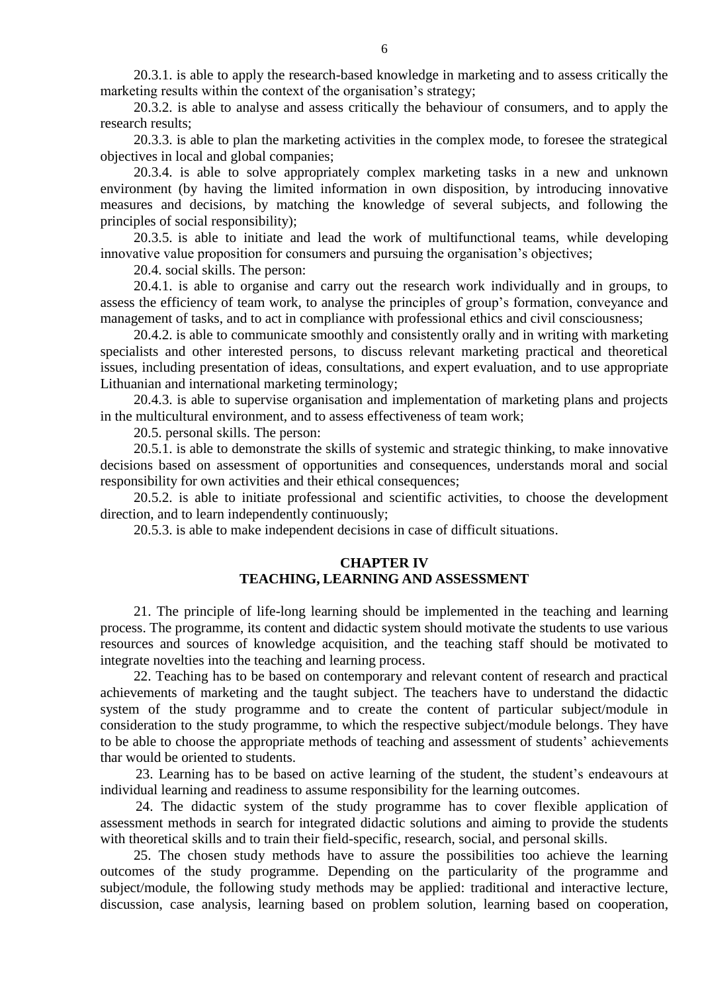20.3.1. is able to apply the research-based knowledge in marketing and to assess critically the marketing results within the context of the organisation's strategy;

20.3.2. is able to analyse and assess critically the behaviour of consumers, and to apply the research results;

20.3.3. is able to plan the marketing activities in the complex mode, to foresee the strategical objectives in local and global companies;

20.3.4. is able to solve appropriately complex marketing tasks in a new and unknown environment (by having the limited information in own disposition, by introducing innovative measures and decisions, by matching the knowledge of several subjects, and following the principles of social responsibility);

20.3.5. is able to initiate and lead the work of multifunctional teams, while developing innovative value proposition for consumers and pursuing the organisation's objectives;

20.4. social skills. The person:

20.4.1. is able to organise and carry out the research work individually and in groups, to assess the efficiency of team work, to analyse the principles of group's formation, conveyance and management of tasks, and to act in compliance with professional ethics and civil consciousness;

20.4.2. is able to communicate smoothly and consistently orally and in writing with marketing specialists and other interested persons, to discuss relevant marketing practical and theoretical issues, including presentation of ideas, consultations, and expert evaluation, and to use appropriate Lithuanian and international marketing terminology;

20.4.3. is able to supervise organisation and implementation of marketing plans and projects in the multicultural environment, and to assess effectiveness of team work;

20.5. personal skills. The person:

20.5.1. is able to demonstrate the skills of systemic and strategic thinking, to make innovative decisions based on assessment of opportunities and consequences, understands moral and social responsibility for own activities and their ethical consequences;

20.5.2. is able to initiate professional and scientific activities, to choose the development direction, and to learn independently continuously;

20.5.3. is able to make independent decisions in case of difficult situations.

### **CHAPTER IV TEACHING, LEARNING AND ASSESSMENT**

21. The principle of life-long learning should be implemented in the teaching and learning process. The programme, its content and didactic system should motivate the students to use various resources and sources of knowledge acquisition, and the teaching staff should be motivated to integrate novelties into the teaching and learning process.

22. Teaching has to be based on contemporary and relevant content of research and practical achievements of marketing and the taught subject. The teachers have to understand the didactic system of the study programme and to create the content of particular subject/module in consideration to the study programme, to which the respective subject/module belongs. They have to be able to choose the appropriate methods of teaching and assessment of students' achievements thar would be oriented to students.

23. Learning has to be based on active learning of the student, the student's endeavours at individual learning and readiness to assume responsibility for the learning outcomes.

24. The didactic system of the study programme has to cover flexible application of assessment methods in search for integrated didactic solutions and aiming to provide the students with theoretical skills and to train their field-specific, research, social, and personal skills.

25. The chosen study methods have to assure the possibilities too achieve the learning outcomes of the study programme. Depending on the particularity of the programme and subject/module, the following study methods may be applied: traditional and interactive lecture, discussion, case analysis, learning based on problem solution, learning based on cooperation,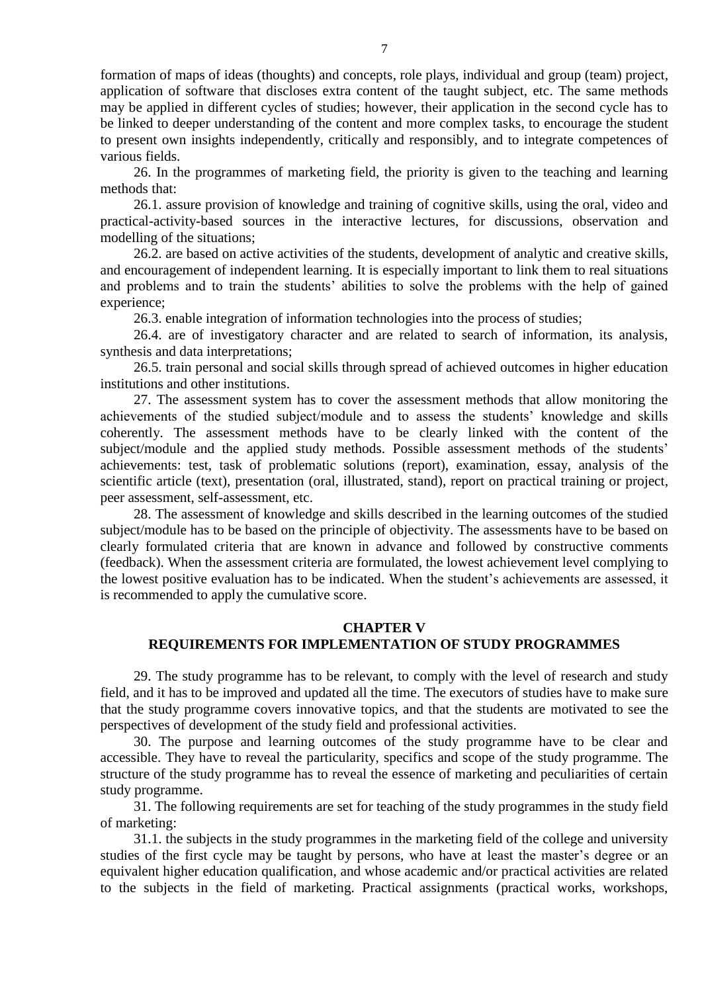formation of maps of ideas (thoughts) and concepts, role plays, individual and group (team) project, application of software that discloses extra content of the taught subject, etc. The same methods may be applied in different cycles of studies; however, their application in the second cycle has to be linked to deeper understanding of the content and more complex tasks, to encourage the student to present own insights independently, critically and responsibly, and to integrate competences of various fields.

26. In the programmes of marketing field, the priority is given to the teaching and learning methods that:

26.1. assure provision of knowledge and training of cognitive skills, using the oral, video and practical-activity-based sources in the interactive lectures, for discussions, observation and modelling of the situations;

26.2. are based on active activities of the students, development of analytic and creative skills, and encouragement of independent learning. It is especially important to link them to real situations and problems and to train the students' abilities to solve the problems with the help of gained experience;

26.3. enable integration of information technologies into the process of studies;

26.4. are of investigatory character and are related to search of information, its analysis, synthesis and data interpretations;

26.5. train personal and social skills through spread of achieved outcomes in higher education institutions and other institutions.

27. The assessment system has to cover the assessment methods that allow monitoring the achievements of the studied subject/module and to assess the students' knowledge and skills coherently. The assessment methods have to be clearly linked with the content of the subject/module and the applied study methods. Possible assessment methods of the students' achievements: test, task of problematic solutions (report), examination, essay, analysis of the scientific article (text), presentation (oral, illustrated, stand), report on practical training or project, peer assessment, self-assessment, etc.

28. The assessment of knowledge and skills described in the learning outcomes of the studied subject/module has to be based on the principle of objectivity. The assessments have to be based on clearly formulated criteria that are known in advance and followed by constructive comments (feedback). When the assessment criteria are formulated, the lowest achievement level complying to the lowest positive evaluation has to be indicated. When the student's achievements are assessed, it is recommended to apply the cumulative score.

### **CHAPTER V**

# **REQUIREMENTS FOR IMPLEMENTATION OF STUDY PROGRAMMES**

29. The study programme has to be relevant, to comply with the level of research and study field, and it has to be improved and updated all the time. The executors of studies have to make sure that the study programme covers innovative topics, and that the students are motivated to see the perspectives of development of the study field and professional activities.

30. The purpose and learning outcomes of the study programme have to be clear and accessible. They have to reveal the particularity, specifics and scope of the study programme. The structure of the study programme has to reveal the essence of marketing and peculiarities of certain study programme.

31. The following requirements are set for teaching of the study programmes in the study field of marketing:

31.1. the subjects in the study programmes in the marketing field of the college and university studies of the first cycle may be taught by persons, who have at least the master's degree or an equivalent higher education qualification, and whose academic and/or practical activities are related to the subjects in the field of marketing. Practical assignments (practical works, workshops,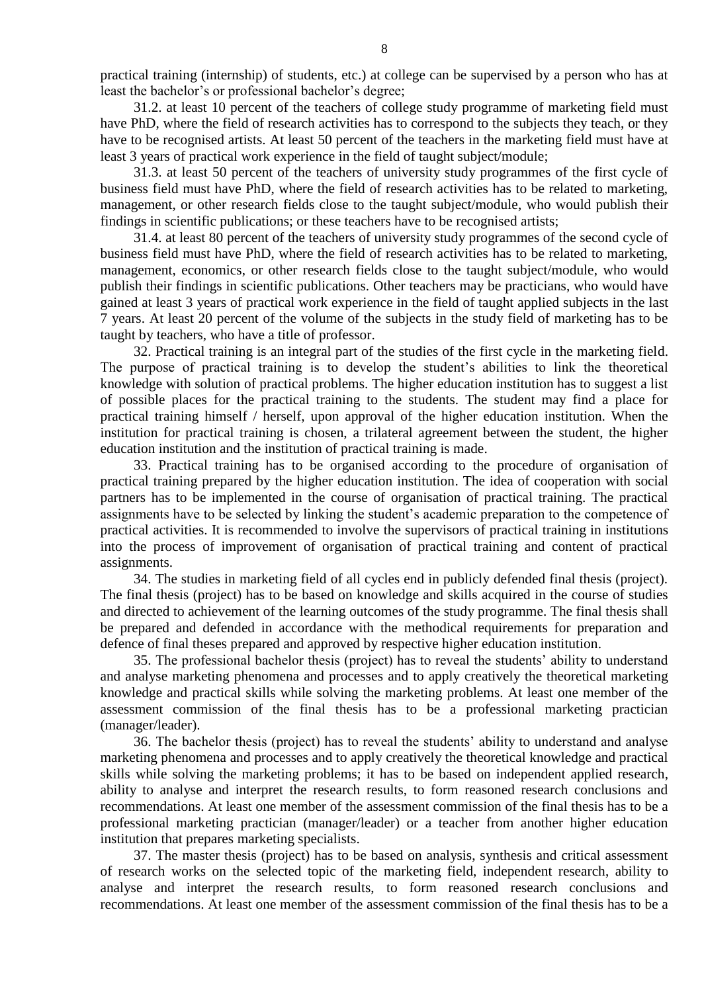practical training (internship) of students, etc.) at college can be supervised by a person who has at least the bachelor's or professional bachelor's degree;

31.2. at least 10 percent of the teachers of college study programme of marketing field must have PhD, where the field of research activities has to correspond to the subjects they teach, or they have to be recognised artists. At least 50 percent of the teachers in the marketing field must have at least 3 years of practical work experience in the field of taught subject/module;

31.3. at least 50 percent of the teachers of university study programmes of the first cycle of business field must have PhD, where the field of research activities has to be related to marketing, management, or other research fields close to the taught subject/module, who would publish their findings in scientific publications; or these teachers have to be recognised artists;

31.4. at least 80 percent of the teachers of university study programmes of the second cycle of business field must have PhD, where the field of research activities has to be related to marketing, management, economics, or other research fields close to the taught subject/module, who would publish their findings in scientific publications. Other teachers may be practicians, who would have gained at least 3 years of practical work experience in the field of taught applied subjects in the last 7 years. At least 20 percent of the volume of the subjects in the study field of marketing has to be taught by teachers, who have a title of professor.

32. Practical training is an integral part of the studies of the first cycle in the marketing field. The purpose of practical training is to develop the student's abilities to link the theoretical knowledge with solution of practical problems. The higher education institution has to suggest a list of possible places for the practical training to the students. The student may find a place for practical training himself / herself, upon approval of the higher education institution. When the institution for practical training is chosen, a trilateral agreement between the student, the higher education institution and the institution of practical training is made.

33. Practical training has to be organised according to the procedure of organisation of practical training prepared by the higher education institution. The idea of cooperation with social partners has to be implemented in the course of organisation of practical training. The practical assignments have to be selected by linking the student's academic preparation to the competence of practical activities. It is recommended to involve the supervisors of practical training in institutions into the process of improvement of organisation of practical training and content of practical assignments.

34. The studies in marketing field of all cycles end in publicly defended final thesis (project). The final thesis (project) has to be based on knowledge and skills acquired in the course of studies and directed to achievement of the learning outcomes of the study programme. The final thesis shall be prepared and defended in accordance with the methodical requirements for preparation and defence of final theses prepared and approved by respective higher education institution.

35. The professional bachelor thesis (project) has to reveal the students' ability to understand and analyse marketing phenomena and processes and to apply creatively the theoretical marketing knowledge and practical skills while solving the marketing problems. At least one member of the assessment commission of the final thesis has to be a professional marketing practician (manager/leader).

36. The bachelor thesis (project) has to reveal the students' ability to understand and analyse marketing phenomena and processes and to apply creatively the theoretical knowledge and practical skills while solving the marketing problems; it has to be based on independent applied research, ability to analyse and interpret the research results, to form reasoned research conclusions and recommendations. At least one member of the assessment commission of the final thesis has to be a professional marketing practician (manager/leader) or a teacher from another higher education institution that prepares marketing specialists.

37. The master thesis (project) has to be based on analysis, synthesis and critical assessment of research works on the selected topic of the marketing field, independent research, ability to analyse and interpret the research results, to form reasoned research conclusions and recommendations. At least one member of the assessment commission of the final thesis has to be a